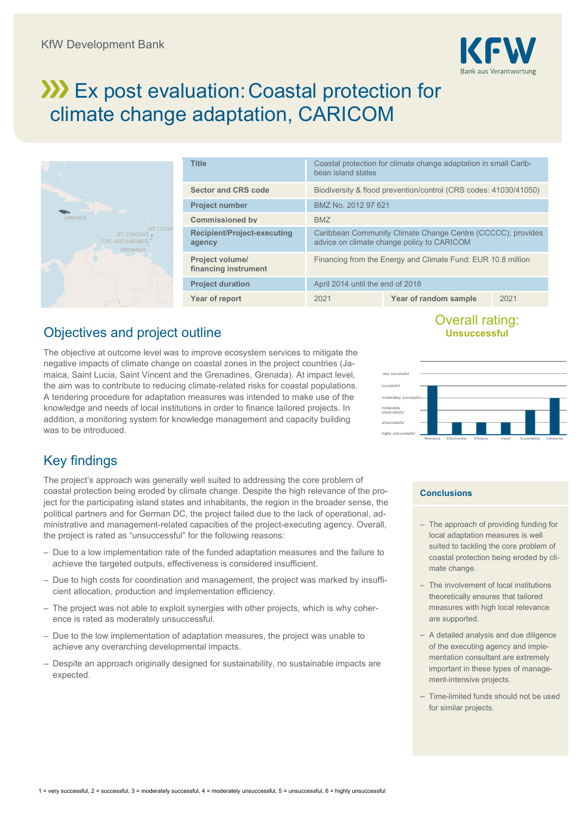

# **Ex post evaluation: Coastal protection for** climate change adaptation, CARICOM



| <b>Title</b>                                   | Coastal protection for climate change adaptation in small Carib-<br>bean island states                    |                       |      |  |
|------------------------------------------------|-----------------------------------------------------------------------------------------------------------|-----------------------|------|--|
| <b>Sector and CRS code</b>                     | Biodiversity & flood prevention/control (CRS codes: 41030/41050)                                          |                       |      |  |
| <b>Project number</b>                          | BMZ No. 2012 97 621                                                                                       |                       |      |  |
| <b>Commissioned by</b>                         | <b>BMZ</b>                                                                                                |                       |      |  |
| <b>Recipient/Project-executing</b><br>agency   | Caribbean Community Climate Change Centre (CCCCC), provides<br>advice on climate change policy to CARICOM |                       |      |  |
| <b>Project volume/</b><br>financing instrument | Financing from the Energy and Climate Fund: EUR 10.8 million                                              |                       |      |  |
| <b>Project duration</b>                        | April 2014 until the end of 2018                                                                          |                       |      |  |
| Year of report                                 | 2021                                                                                                      | Year of random sample | 2021 |  |

## Objectives and project outline

The objective at outcome level was to improve ecosystem services to mitigate the negative impacts of climate change on coastal zones in the project countries (Jamaica, Saint Lucia, Saint Vincent and the Grenadines, Grenada). At impact level, the aim was to contribute to reducing climate-related risks for coastal populations. A tendering procedure for adaptation measures was intended to make use of the knowledge and needs of local institutions in order to finance tailored projects. In addition, a monitoring system for knowledge management and capacity building was to be introduced.

# Key findings

The project's approach was generally well suited to addressing the core problem of coastal protection being eroded by climate change. Despite the high relevance of the project for the participating island states and inhabitants, the region in the broader sense, the political partners and for German DC, the project failed due to the lack of operational, administrative and management-related capacities of the project-executing agency. Overall, the project is rated as "unsuccessful" for the following reasons:

- Due to a low implementation rate of the funded adaptation measures and the failure to achieve the targeted outputs, effectiveness is considered insufficient.
- Due to high costs for coordination and management, the project was marked by insufficient allocation, production and implementation efficiency.
- The project was not able to exploit synergies with other projects, which is why coherence is rated as moderately unsuccessful.
- Due to the low implementation of adaptation measures, the project was unable to achieve any overarching developmental impacts.
- Despite an approach originally designed for sustainability, no sustainable impacts are expected.

### Overall rating: **Unsuccessful**



#### **Conclusions**

- The approach of providing funding for local adaptation measures is well suited to tackling the core problem of coastal protection being eroded by climate change.
- The involvement of local institutions theoretically ensures that tailored measures with high local relevance are supported.
- A detailed analysis and due diligence of the executing agency and implementation consultant are extremely important in these types of management-intensive projects.
- Time-limited funds should not be used for similar projects.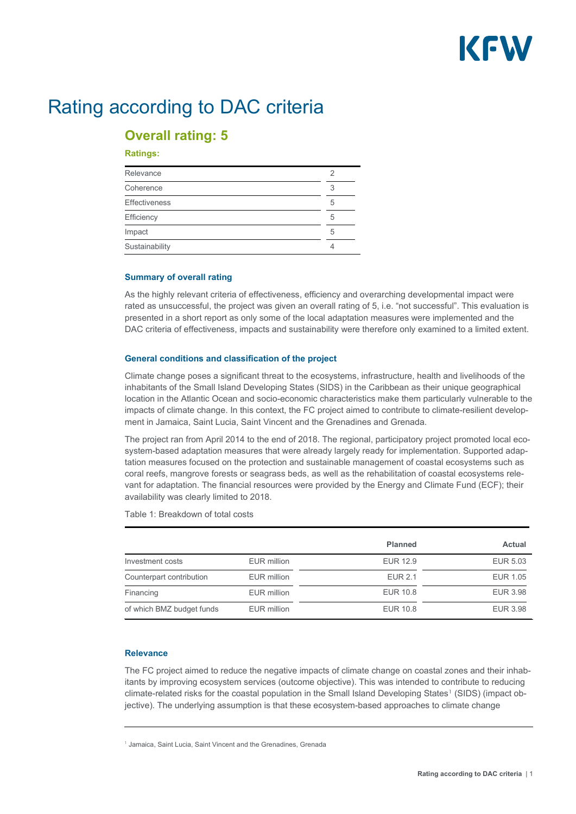

# Rating according to DAC criteria

## **Overall rating: 5**

#### **Ratings:**

| Relevance            |   |
|----------------------|---|
| Coherence            |   |
| <b>Effectiveness</b> | 5 |
| Efficiency           | 5 |
| Impact               | 5 |
| Sustainability       |   |

#### **Summary of overall rating**

As the highly relevant criteria of effectiveness, efficiency and overarching developmental impact were rated as unsuccessful, the project was given an overall rating of 5, i.e. "not successful". This evaluation is presented in a short report as only some of the local adaptation measures were implemented and the DAC criteria of effectiveness, impacts and sustainability were therefore only examined to a limited extent.

#### **General conditions and classification of the project**

Climate change poses a significant threat to the ecosystems, infrastructure, health and livelihoods of the inhabitants of the Small Island Developing States (SIDS) in the Caribbean as their unique geographical location in the Atlantic Ocean and socio-economic characteristics make them particularly vulnerable to the impacts of climate change. In this context, the FC project aimed to contribute to climate-resilient development in Jamaica, Saint Lucia, Saint Vincent and the Grenadines and Grenada.

The project ran from April 2014 to the end of 2018. The regional, participatory project promoted local ecosystem-based adaptation measures that were already largely ready for implementation. Supported adaptation measures focused on the protection and sustainable management of coastal ecosystems such as coral reefs, mangrove forests or seagrass beds, as well as the rehabilitation of coastal ecosystems relevant for adaptation. The financial resources were provided by the Energy and Climate Fund (ECF); their availability was clearly limited to 2018.

Table 1: Breakdown of total costs

|                           |             | <b>Planned</b>  | <b>Actual</b>   |
|---------------------------|-------------|-----------------|-----------------|
| Investment costs          | EUR million | <b>EUR 12.9</b> | EUR 5.03        |
| Counterpart contribution  | EUR million | <b>EUR 2.1</b>  | <b>EUR 1.05</b> |
| Financing                 | EUR million | <b>EUR 10.8</b> | <b>EUR 3.98</b> |
| of which BMZ budget funds | EUR million | <b>EUR 10.8</b> | <b>EUR 3.98</b> |

#### **Relevance**

The FC project aimed to reduce the negative impacts of climate change on coastal zones and their inhabitants by improving ecosystem services (outcome objective). This was intended to contribute to reducing climate-related risks for the coastal population in the Small Island Developing States<sup>[1](#page-1-0)</sup> (SIDS) (impact objective). The underlying assumption is that these ecosystem-based approaches to climate change

<span id="page-1-0"></span><sup>1</sup> Jamaica, Saint Lucia, Saint Vincent and the Grenadines, Grenada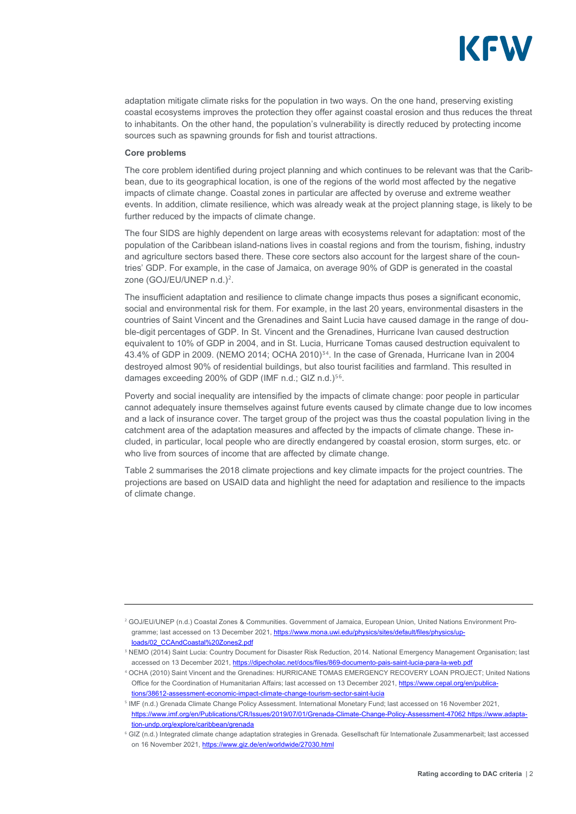

adaptation mitigate climate risks for the population in two ways. On the one hand, preserving existing coastal ecosystems improves the protection they offer against coastal erosion and thus reduces the threat to inhabitants. On the other hand, the population's vulnerability is directly reduced by protecting income sources such as spawning grounds for fish and tourist attractions.

#### **Core problems**

The core problem identified during project planning and which continues to be relevant was that the Caribbean, due to its geographical location, is one of the regions of the world most affected by the negative impacts of climate change. Coastal zones in particular are affected by overuse and extreme weather events. In addition, climate resilience, which was already weak at the project planning stage, is likely to be further reduced by the impacts of climate change.

The four SIDS are highly dependent on large areas with ecosystems relevant for adaptation: most of the population of the Caribbean island-nations lives in coastal regions and from the tourism, fishing, industry and agriculture sectors based there. These core sectors also account for the largest share of the countries' GDP. For example, in the case of Jamaica, on average 90% of GDP is generated in the coastal zone (GOJ/EU/UNEP n.d.)<sup>[2](#page-2-0)</sup>.

The insufficient adaptation and resilience to climate change impacts thus poses a significant economic, social and environmental risk for them. For example, in the last 20 years, environmental disasters in the countries of Saint Vincent and the Grenadines and Saint Lucia have caused damage in the range of double-digit percentages of GDP. In St. Vincent and the Grenadines, Hurricane Ivan caused destruction equivalent to 10% of GDP in 2004, and in St. Lucia, Hurricane Tomas caused destruction equivalent to 4[3](#page-2-1).[4](#page-2-2)% of GDP in 2009. (NEMO 2014; OCHA 2010)<sup>34</sup>. In the case of Grenada, Hurricane Ivan in 2004 destroyed almost 90% of residential buildings, but also tourist facilities and farmland. This resulted in damages exceeding 200% of GDP (IMF n.d.; GIZ n.d.)<sup>[5](#page-2-3)[6](#page-2-4)</sup>.

Poverty and social inequality are intensified by the impacts of climate change: poor people in particular cannot adequately insure themselves against future events caused by climate change due to low incomes and a lack of insurance cover. The target group of the project was thus the coastal population living in the catchment area of the adaptation measures and affected by the impacts of climate change. These included, in particular, local people who are directly endangered by coastal erosion, storm surges, etc. or who live from sources of income that are affected by climate change.

Table 2 summarises the 2018 climate projections and key climate impacts for the project countries. The projections are based on USAID data and highlight the need for adaptation and resilience to the impacts of climate change.

<span id="page-2-0"></span><sup>2</sup> GOJ/EU/UNEP (n.d.) Coastal Zones & Communities. Government of Jamaica, European Union, United Nations Environment Pro-gramme; last accessed on 13 December 2021[, https://www.mona.uwi.edu/physics/sites/default/files/physics/up](https://www.mona.uwi.edu/physics/sites/default/files/physics/uploads/02_CCAndCoastal%20Zones2.pdf)[loads/02\\_CCAndCoastal%20Zones2.pdf](https://www.mona.uwi.edu/physics/sites/default/files/physics/uploads/02_CCAndCoastal%20Zones2.pdf) 

<span id="page-2-1"></span><sup>3</sup> NEMO (2014) Saint Lucia: Country Document for Disaster Risk Reduction, 2014. National Emergency Management Organisation; last accessed on 13 December 2021,<https://dipecholac.net/docs/files/869-documento-pais-saint-lucia-para-la-web.pdf>

<span id="page-2-2"></span><sup>4</sup> OCHA (2010) Saint Vincent and the Grenadines: HURRICANE TOMAS EMERGENCY RECOVERY LOAN PROJECT; United Nations Office for the Coordination of Humanitarian Affairs; last accessed on 13 December 2021[, https://www.cepal.org/en/publica](https://www.cepal.org/en/publications/38612-assessment-economic-impact-climate-change-tourism-sector-saint-lucia)[tions/38612-assessment-economic-impact-climate-change-tourism-sector-saint-lucia](https://www.cepal.org/en/publications/38612-assessment-economic-impact-climate-change-tourism-sector-saint-lucia)

<span id="page-2-3"></span><sup>5</sup> IMF (n.d.) Grenada Climate Change Policy Assessment. International Monetary Fund; last accessed on 16 November 2021, [https://www.imf.org/en/Publications/CR/Issues/2019/07/01/Grenada-Climate-Change-Policy-Assessment-47062 https://www.adapta](https://www.imf.org/en/Publications/CR/Issues/2019/07/01/Grenada-Climate-Change-Policy-Assessment-47062%20https:/www.adaptation-undp.org/explore/caribbean/grenada)[tion-undp.org/explore/caribbean/grenada](https://www.imf.org/en/Publications/CR/Issues/2019/07/01/Grenada-Climate-Change-Policy-Assessment-47062%20https:/www.adaptation-undp.org/explore/caribbean/grenada)

<span id="page-2-4"></span><sup>6</sup> GIZ (n.d.) Integrated climate change adaptation strategies in Grenada. Gesellschaft für Internationale Zusammenarbeit; last accessed on 16 November 2021[, https://www.giz.de/en/worldwide/27030.html](https://www.giz.de/en/worldwide/27030.html)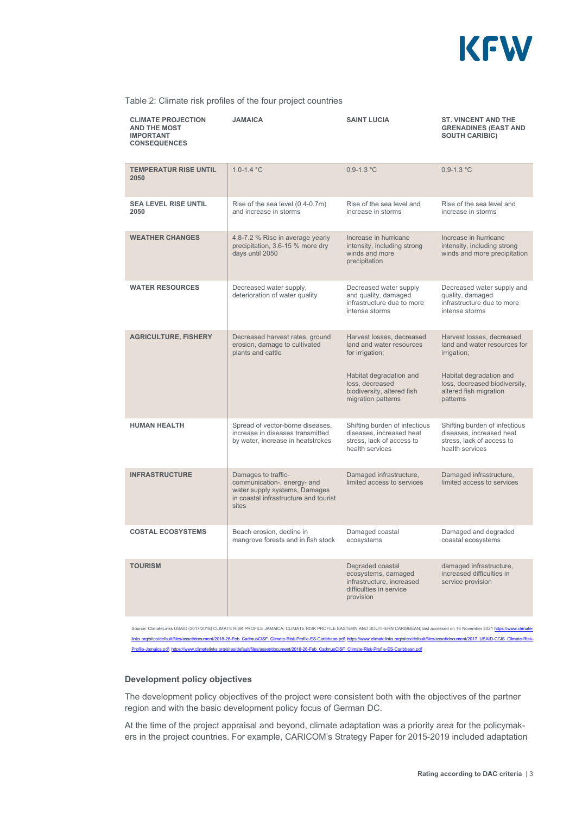

#### Table 2: Climate risk profiles of the four project countries

| <b>CLIMATE PROJECTION</b><br><b>AND THE MOST</b><br><b>IMPORTANT</b><br><b>CONSEQUENCES</b> | <b>JAMAICA</b>                                                                                                                        | <b>SAINT LUCIA</b>                                                                                                                                                         | <b>ST. VINCENT AND THE</b><br><b>GRENADINES (EAST AND</b><br><b>SOUTH CARIBIC)</b>                                                                                         |
|---------------------------------------------------------------------------------------------|---------------------------------------------------------------------------------------------------------------------------------------|----------------------------------------------------------------------------------------------------------------------------------------------------------------------------|----------------------------------------------------------------------------------------------------------------------------------------------------------------------------|
| <b>TEMPERATUR RISE UNTIL</b><br>2050                                                        | $1.0 - 1.4$ °C                                                                                                                        | $0.9 - 1.3 °C$                                                                                                                                                             | $0.9 - 1.3 °C$                                                                                                                                                             |
| <b>SEA LEVEL RISE UNTIL</b><br>2050                                                         | Rise of the sea level (0.4-0.7m)<br>and increase in storms                                                                            | Rise of the sea level and<br>increase in storms                                                                                                                            | Rise of the sea level and<br>increase in storms                                                                                                                            |
| <b>WEATHER CHANGES</b>                                                                      | 4.8-7.2 % Rise in average yearly<br>precipitation, 3.6-15 % more dry<br>days until 2050                                               | Increase in hurricane<br>intensity, including strong<br>winds and more<br>precipitation                                                                                    | Increase in hurricane<br>intensity, including strong<br>winds and more precipitation                                                                                       |
| <b>WATER RESOURCES</b>                                                                      | Decreased water supply,<br>deterioration of water quality                                                                             | Decreased water supply<br>and quality, damaged<br>infrastructure due to more<br>intense storms                                                                             | Decreased water supply and<br>quality, damaged<br>infrastructure due to more<br>intense storms                                                                             |
| <b>AGRICULTURE, FISHERY</b>                                                                 | Decreased harvest rates, ground<br>erosion, damage to cultivated<br>plants and cattle                                                 | Harvest losses, decreased<br>land and water resources<br>for irrigation;<br>Habitat degradation and<br>loss, decreased<br>biodiversity, altered fish<br>migration patterns | Harvest losses, decreased<br>land and water resources for<br>irrigation;<br>Habitat degradation and<br>loss, decreased biodiversity,<br>altered fish migration<br>patterns |
| <b>HUMAN HEALTH</b>                                                                         | Spread of vector-borne diseases,<br>increase in diseases transmitted<br>by water, increase in heatstrokes                             | Shifting burden of infectious<br>diseases, increased heat<br>stress, lack of access to<br>health services                                                                  | Shifting burden of infectious<br>diseases, increased heat<br>stress, lack of access to<br>health services                                                                  |
| <b>INFRASTRUCTURE</b>                                                                       | Damages to traffic-<br>communication-, energy- and<br>water supply systems, Damages<br>in coastal infrastructure and tourist<br>sites | Damaged infrastructure,<br>limited access to services                                                                                                                      | Damaged infrastructure,<br>limited access to services                                                                                                                      |
| <b>COSTAL ECOSYSTEMS</b>                                                                    | Beach erosion, decline in<br>mangrove forests and in fish stock                                                                       | Damaged coastal<br>ecosystems                                                                                                                                              | Damaged and degraded<br>coastal ecosystems                                                                                                                                 |
| <b>TOURISM</b>                                                                              |                                                                                                                                       | Degraded coastal<br>ecosystems, damaged<br>infrastructure, increased<br>difficulties in service<br>provision                                                               | damaged infrastructure,<br>increased difficulties in<br>service provision                                                                                                  |

Irce: ClimateLinks USAID (2017/2018) CLIMATE RISK PROFILE JAMAICA; CLIMATE RISK PROFILE EASTERN AND SOUTHERN CARIBBEAN; last accessed on 16 November 2021 <u>http</u>: [links.org/sites/default/files/asset/document/2018-26-Feb\\_CadmusCISF\\_Climate-Risk-Profile-ES-Caribbean.pdf;](https://www.climatelinks.org/sites/default/files/asset/document/2018-26-Feb_CadmusCISF_Climate-Risk-Profile-ES-Caribbean.pdf) [https://www.climatelinks.org/sites/default/files/asset/document/2017\\_USAID-CCIS\\_Climate-Risk-](https://www.climatelinks.org/sites/default/files/asset/document/2017_USAID-CCIS_Climate-Risk-Profile-Jamaica.pdf)[Profile-Jamaica.pdf;](https://www.climatelinks.org/sites/default/files/asset/document/2017_USAID-CCIS_Climate-Risk-Profile-Jamaica.pdf) [https://www.climatelinks.org/sites/default/files/asset/document/2018-26-Feb\\_CadmusCISF\\_Climate-Risk-Profile-ES-Caribbean.pdf](https://www.climatelinks.org/sites/default/files/asset/document/2018-26-Feb_CadmusCISF_Climate-Risk-Profile-ES-Caribbean.pdf) 

#### **Development policy objectives**

The development policy objectives of the project were consistent both with the objectives of the partner region and with the basic development policy focus of German DC.

At the time of the project appraisal and beyond, climate adaptation was a priority area for the policymakers in the project countries. For example, CARICOM's Strategy Paper for 2015-2019 included adaptation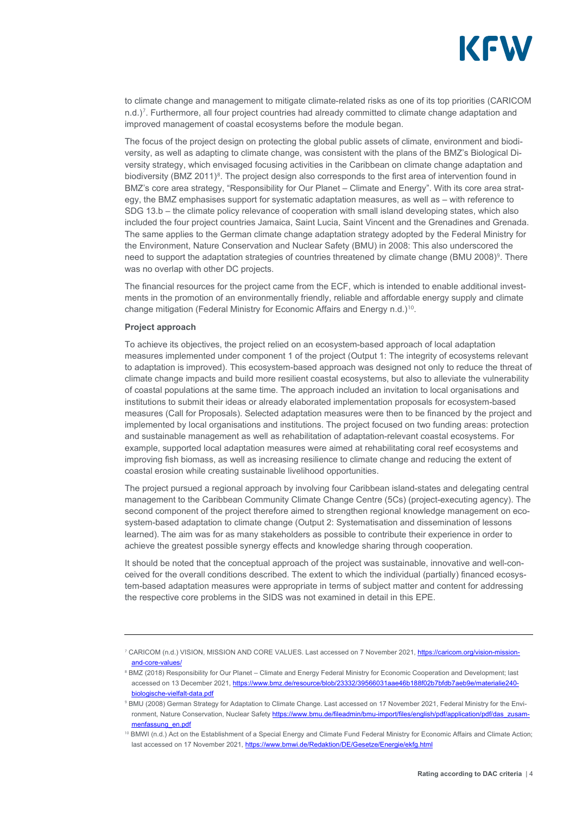

to climate change and management to mitigate climate-related risks as one of its top priorities (CARICOM n.d.)<sup>[7](#page-4-0)</sup>. Furthermore, all four project countries had already committed to climate change adaptation and improved management of coastal ecosystems before the module began.

The focus of the project design on protecting the global public assets of climate, environment and biodiversity, as well as adapting to climate change, was consistent with the plans of the BMZ's Biological Diversity strategy, which envisaged focusing activities in the Caribbean on climate change adaptation and biodiversity (BMZ 2011)<sup>[8](#page-4-1)</sup>. The project design also corresponds to the first area of intervention found in BMZ's core area strategy, "Responsibility for Our Planet – Climate and Energy". With its core area strategy, the BMZ emphasises support for systematic adaptation measures, as well as – with reference to SDG 13.b – the climate policy relevance of cooperation with small island developing states, which also included the four project countries Jamaica, Saint Lucia, Saint Vincent and the Grenadines and Grenada. The same applies to the German climate change adaptation strategy adopted by the Federal Ministry for the Environment, Nature Conservation and Nuclear Safety (BMU) in 2008: This also underscored the need to support the adaptation strategies of countries threatened by climate change (BMU 2008)<sup>[9](#page-4-2)</sup>. There was no overlap with other DC projects.

The financial resources for the project came from the ECF, which is intended to enable additional investments in the promotion of an environmentally friendly, reliable and affordable energy supply and climate change mitigation (Federal Ministry for Economic Affairs and Energy n.d.)[10](#page-4-3).

#### **Project approach**

To achieve its objectives, the project relied on an ecosystem-based approach of local adaptation measures implemented under component 1 of the project (Output 1: The integrity of ecosystems relevant to adaptation is improved). This ecosystem-based approach was designed not only to reduce the threat of climate change impacts and build more resilient coastal ecosystems, but also to alleviate the vulnerability of coastal populations at the same time. The approach included an invitation to local organisations and institutions to submit their ideas or already elaborated implementation proposals for ecosystem-based measures (Call for Proposals). Selected adaptation measures were then to be financed by the project and implemented by local organisations and institutions. The project focused on two funding areas: protection and sustainable management as well as rehabilitation of adaptation-relevant coastal ecosystems. For example, supported local adaptation measures were aimed at rehabilitating coral reef ecosystems and improving fish biomass, as well as increasing resilience to climate change and reducing the extent of coastal erosion while creating sustainable livelihood opportunities.

The project pursued a regional approach by involving four Caribbean island-states and delegating central management to the Caribbean Community Climate Change Centre (5Cs) (project-executing agency). The second component of the project therefore aimed to strengthen regional knowledge management on ecosystem-based adaptation to climate change (Output 2: Systematisation and dissemination of lessons learned). The aim was for as many stakeholders as possible to contribute their experience in order to achieve the greatest possible synergy effects and knowledge sharing through cooperation.

It should be noted that the conceptual approach of the project was sustainable, innovative and well-conceived for the overall conditions described. The extent to which the individual (partially) financed ecosystem-based adaptation measures were appropriate in terms of subject matter and content for addressing the respective core problems in the SIDS was not examined in detail in this EPE.

<span id="page-4-0"></span><sup>7</sup> CARICOM (n.d.) VISION, MISSION AND CORE VALUES. Last accessed on 7 November 2021, [https://caricom.org/vision-mission](https://caricom.org/vision-mission-and-core-values/)[and-core-values/](https://caricom.org/vision-mission-and-core-values/) 

<span id="page-4-1"></span><sup>&</sup>lt;sup>8</sup> BMZ (2018) Responsibility for Our Planet – Climate and Energy Federal Ministry for Economic Cooperation and Development; last accessed on 13 December 2021, [https://www.bmz.de/resource/blob/23332/39566031aae46b188f02b7bfdb7aeb9e/materialie240](https://www.bmz.de/resource/blob/23332/39566031aae46b188f02b7bfdb7aeb9e/materialie240-biologische-vielfalt-data.pdf) [biologische-vielfalt-data.pdf](https://www.bmz.de/resource/blob/23332/39566031aae46b188f02b7bfdb7aeb9e/materialie240-biologische-vielfalt-data.pdf)

<span id="page-4-2"></span><sup>9</sup> BMU (2008) German Strategy for Adaptation to Climate Change. Last accessed on 17 November 2021, Federal Ministry for the Environment, Nature Conservation, Nuclear Safet[y https://www.bmu.de/fileadmin/bmu-import/files/english/pdf/application/pdf/das\\_zusam](https://www.bmu.de/fileadmin/bmu-import/files/english/pdf/application/pdf/das_zusammenfassung_en.pdf)[menfassung\\_en.pdf](https://www.bmu.de/fileadmin/bmu-import/files/english/pdf/application/pdf/das_zusammenfassung_en.pdf) 

<span id="page-4-3"></span><sup>&</sup>lt;sup>10</sup> BMWI (n.d.) Act on the Establishment of a Special Energy and Climate Fund Federal Ministry for Economic Affairs and Climate Action; last accessed on 17 November 2021, https://www.bmwi.de/Redaktion/DE/Gesetze/Energie/ekfg.html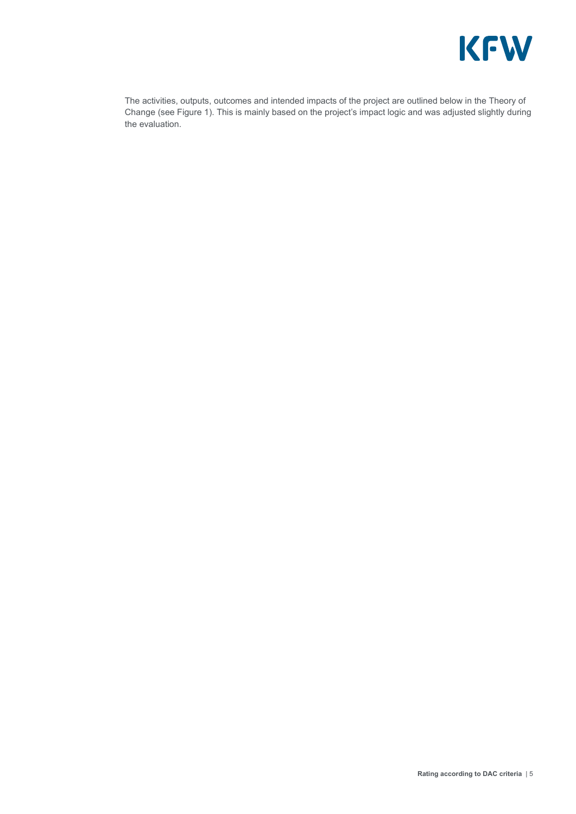

The activities, outputs, outcomes and intended impacts of the project are outlined below in the Theory of Change (see Figure 1). This is mainly based on the project's impact logic and was adjusted slightly during the evaluation.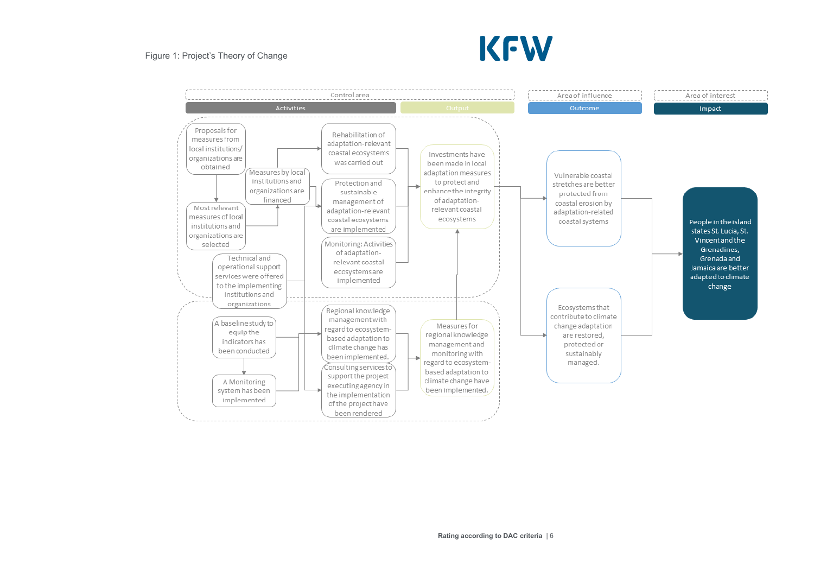#### Figure 1: Project's Theory of Change



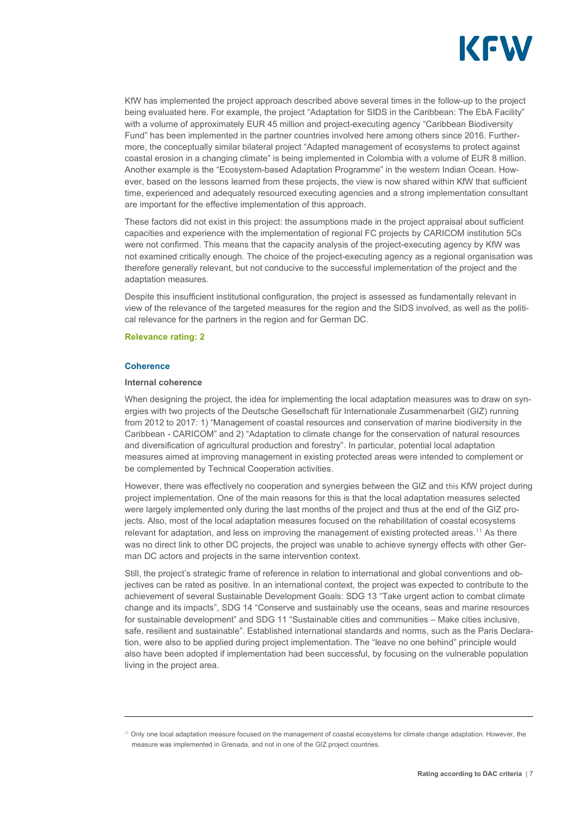

KfW has implemented the project approach described above several times in the follow-up to the project being evaluated here. For example, the project "Adaptation for SIDS in the Caribbean: The EbA Facility" with a volume of approximately EUR 45 million and project-executing agency "Caribbean Biodiversity Fund" has been implemented in the partner countries involved here among others since 2016. Furthermore, the conceptually similar bilateral project "Adapted management of ecosystems to protect against coastal erosion in a changing climate" is being implemented in Colombia with a volume of EUR 8 million. Another example is the "Ecosystem-based Adaptation Programme" in the western Indian Ocean. However, based on the lessons learned from these projects, the view is now shared within KfW that sufficient time, experienced and adequately resourced executing agencies and a strong implementation consultant are important for the effective implementation of this approach.

These factors did not exist in this project: the assumptions made in the project appraisal about sufficient capacities and experience with the implementation of regional FC projects by CARICOM institution 5Cs were not confirmed. This means that the capacity analysis of the project-executing agency by KfW was not examined critically enough. The choice of the project-executing agency as a regional organisation was therefore generally relevant, but not conducive to the successful implementation of the project and the adaptation measures.

Despite this insufficient institutional configuration, the project is assessed as fundamentally relevant in view of the relevance of the targeted measures for the region and the SIDS involved, as well as the political relevance for the partners in the region and for German DC.

#### **Relevance rating: 2**

#### **Coherence**

#### **Internal coherence**

When designing the project, the idea for implementing the local adaptation measures was to draw on synergies with two projects of the Deutsche Gesellschaft für Internationale Zusammenarbeit (GIZ) running from 2012 to 2017: 1) "Management of coastal resources and conservation of marine biodiversity in the Caribbean - CARICOM" and 2) "Adaptation to climate change for the conservation of natural resources and diversification of agricultural production and forestry". In particular, potential local adaptation measures aimed at improving management in existing protected areas were intended to complement or be complemented by Technical Cooperation activities.

However, there was effectively no cooperation and synergies between the GIZ and this KfW project during project implementation. One of the main reasons for this is that the local adaptation measures selected were largely implemented only during the last months of the project and thus at the end of the GIZ projects. Also, most of the local adaptation measures focused on the rehabilitation of coastal ecosystems relevant for adaptation, and less on improving the management of existing protected areas.<sup>[11](#page-7-0)</sup> As there was no direct link to other DC projects, the project was unable to achieve synergy effects with other German DC actors and projects in the same intervention context.

Still, the project's strategic frame of reference in relation to international and global conventions and objectives can be rated as positive. In an international context, the project was expected to contribute to the achievement of several Sustainable Development Goals: SDG 13 "Take urgent action to combat climate change and its impacts", SDG 14 "Conserve and sustainably use the oceans, seas and marine resources for sustainable development" and SDG 11 "Sustainable cities and communities – Make cities inclusive, safe, resilient and sustainable". Established international standards and norms, such as the Paris Declaration, were also to be applied during project implementation. The "leave no one behind" principle would also have been adopted if implementation had been successful, by focusing on the vulnerable population living in the project area.

<span id="page-7-0"></span><sup>&</sup>lt;sup>11</sup> Only one local adaptation measure focused on the management of coastal ecosystems for climate change adaptation. However, the measure was implemented in Grenada, and not in one of the GIZ project countries.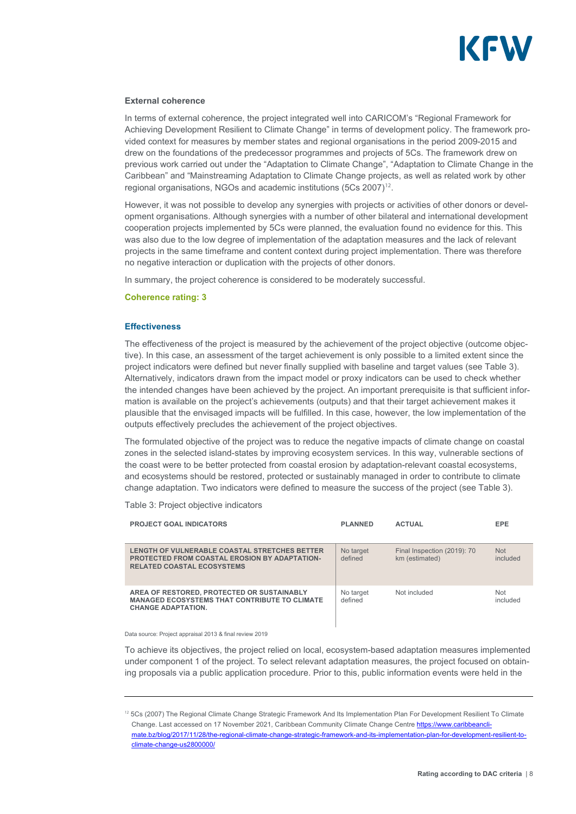

#### **External coherence**

In terms of external coherence, the project integrated well into CARICOM's "Regional Framework for Achieving Development Resilient to Climate Change" in terms of development policy. The framework provided context for measures by member states and regional organisations in the period 2009-2015 and drew on the foundations of the predecessor programmes and projects of 5Cs. The framework drew on previous work carried out under the "Adaptation to Climate Change", "Adaptation to Climate Change in the Caribbean" and "Mainstreaming Adaptation to Climate Change projects, as well as related work by other regional organisations, NGOs and academic institutions (5Cs 2007)<sup>[12](#page-8-0)</sup>.

However, it was not possible to develop any synergies with projects or activities of other donors or development organisations. Although synergies with a number of other bilateral and international development cooperation projects implemented by 5Cs were planned, the evaluation found no evidence for this. This was also due to the low degree of implementation of the adaptation measures and the lack of relevant projects in the same timeframe and content context during project implementation. There was therefore no negative interaction or duplication with the projects of other donors.

In summary, the project coherence is considered to be moderately successful.

#### **Coherence rating: 3**

#### **Effectiveness**

The effectiveness of the project is measured by the achievement of the project objective (outcome objective). In this case, an assessment of the target achievement is only possible to a limited extent since the project indicators were defined but never finally supplied with baseline and target values (see Table 3). Alternatively, indicators drawn from the impact model or proxy indicators can be used to check whether the intended changes have been achieved by the project. An important prerequisite is that sufficient information is available on the project's achievements (outputs) and that their target achievement makes it plausible that the envisaged impacts will be fulfilled. In this case, however, the low implementation of the outputs effectively precludes the achievement of the project objectives.

The formulated objective of the project was to reduce the negative impacts of climate change on coastal zones in the selected island-states by improving ecosystem services. In this way, vulnerable sections of the coast were to be better protected from coastal erosion by adaptation-relevant coastal ecosystems, and ecosystems should be restored, protected or sustainably managed in order to contribute to climate change adaptation. Two indicators were defined to measure the success of the project (see Table 3).

Table 3: Project objective indicators

| <b>PROJECT GOAL INDICATORS</b>                                                                                                             | <b>PLANNED</b>       | <b>ACTUAL</b>                                 | <b>EPE</b>             |
|--------------------------------------------------------------------------------------------------------------------------------------------|----------------------|-----------------------------------------------|------------------------|
| LENGTH OF VULNERABLE COASTAL STRETCHES BETTER<br><b>PROTECTED FROM COASTAL EROSION BY ADAPTATION-</b><br><b>RELATED COASTAL ECOSYSTEMS</b> | No target<br>defined | Final Inspection (2019): 70<br>km (estimated) | <b>Not</b><br>included |
| AREA OF RESTORED, PROTECTED OR SUSTAINABLY<br><b>MANAGED ECOSYSTEMS THAT CONTRIBUTE TO CLIMATE</b><br><b>CHANGE ADAPTATION.</b>            | No target<br>defined | Not included                                  | <b>Not</b><br>included |

#### Data source: Project appraisal 2013 & final review 2019

To achieve its objectives, the project relied on local, ecosystem-based adaptation measures implemented under component 1 of the project. To select relevant adaptation measures, the project focused on obtaining proposals via a public application procedure. Prior to this, public information events were held in the

<span id="page-8-0"></span><sup>&</sup>lt;sup>12</sup> 5Cs (2007) The Regional Climate Change Strategic Framework And Its Implementation Plan For Development Resilient To Climate Change. Last accessed on 17 November 2021, Caribbean Community Climate Change Centre [https://www.caribbeancli](https://www.caribbeanclimate.bz/blog/2017/11/28/the-regional-climate-change-strategic-framework-and-its-implementation-plan-for-development-resilient-to-climate-change-us2800000/)[mate.bz/blog/2017/11/28/the-regional-climate-change-strategic-framework-and-its-implementation-plan-for-development-resilient-to](https://www.caribbeanclimate.bz/blog/2017/11/28/the-regional-climate-change-strategic-framework-and-its-implementation-plan-for-development-resilient-to-climate-change-us2800000/)[climate-change-us2800000/](https://www.caribbeanclimate.bz/blog/2017/11/28/the-regional-climate-change-strategic-framework-and-its-implementation-plan-for-development-resilient-to-climate-change-us2800000/)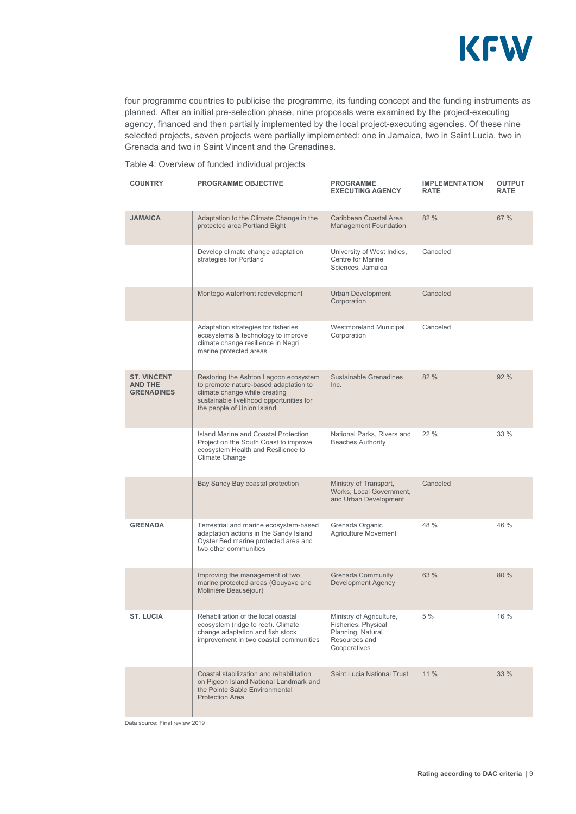

four programme countries to publicise the programme, its funding concept and the funding instruments as planned. After an initial pre-selection phase, nine proposals were examined by the project-executing agency, financed and then partially implemented by the local project-executing agencies. Of these nine selected projects, seven projects were partially implemented: one in Jamaica, two in Saint Lucia, two in Grenada and two in Saint Vincent and the Grenadines.

#### Table 4: Overview of funded individual projects

| <b>COUNTRY</b>                                            | <b>PROGRAMME OBJECTIVE</b>                                                                                                                                                                 | <b>PROGRAMME</b><br><b>EXECUTING AGENCY</b>                                                           | <b>IMPLEMENTATION</b><br><b>RATE</b> | <b>OUTPUT</b><br><b>RATE</b> |
|-----------------------------------------------------------|--------------------------------------------------------------------------------------------------------------------------------------------------------------------------------------------|-------------------------------------------------------------------------------------------------------|--------------------------------------|------------------------------|
| <b>JAMAICA</b>                                            | Adaptation to the Climate Change in the<br>protected area Portland Bight                                                                                                                   | Caribbean Coastal Area<br><b>Management Foundation</b>                                                | 82 %                                 | 67 %                         |
|                                                           | Develop climate change adaptation<br>strategies for Portland                                                                                                                               | University of West Indies,<br>Centre for Marine<br>Sciences, Jamaica                                  | Canceled                             |                              |
|                                                           | Montego waterfront redevelopment                                                                                                                                                           | <b>Urban Development</b><br>Corporation                                                               | Canceled                             |                              |
|                                                           | Adaptation strategies for fisheries<br>ecosystems & technology to improve<br>climate change resilience in Negri<br>marine protected areas                                                  | Westmoreland Municipal<br>Corporation                                                                 | Canceled                             |                              |
| <b>ST. VINCENT</b><br><b>AND THE</b><br><b>GRENADINES</b> | Restoring the Ashton Lagoon ecosystem<br>to promote nature-based adaptation to<br>climate change while creating<br>sustainable livelihood opportunities for<br>the people of Union Island. | Sustainable Grenadines<br>Inc.                                                                        | 82 %                                 | 92 %                         |
|                                                           | Island Marine and Coastal Protection<br>Project on the South Coast to improve<br>ecosystem Health and Resilience to<br>Climate Change                                                      | National Parks, Rivers and<br><b>Beaches Authority</b>                                                | 22 %                                 | 33 %                         |
|                                                           | Bay Sandy Bay coastal protection                                                                                                                                                           | Ministry of Transport,<br>Works, Local Government,<br>and Urban Development                           | Canceled                             |                              |
| <b>GRENADA</b>                                            | Terrestrial and marine ecosystem-based<br>adaptation actions in the Sandy Island<br>Oyster Bed marine protected area and<br>two other communities                                          | Grenada Organic<br><b>Agriculture Movement</b>                                                        | 48 %                                 | 46 %                         |
|                                                           | Improving the management of two<br>marine protected areas (Gouyave and<br>Molinière Beauséjour)                                                                                            | <b>Grenada Community</b><br><b>Development Agency</b>                                                 | 63 %                                 | 80 %                         |
| <b>ST. LUCIA</b>                                          | Rehabilitation of the local coastal<br>ecosystem (ridge to reef). Climate<br>change adaptation and fish stock<br>improvement in two coastal communities                                    | Ministry of Agriculture,<br>Fisheries, Physical<br>Planning, Natural<br>Resources and<br>Cooperatives | 5 %                                  | 16 %                         |
|                                                           | Coastal stabilization and rehabilitation<br>on Pigeon Island National Landmark and<br>the Pointe Sable Environmental<br><b>Protection Area</b>                                             | <b>Saint Lucia National Trust</b>                                                                     | 11%                                  | 33 %                         |

Data source: Final review 2019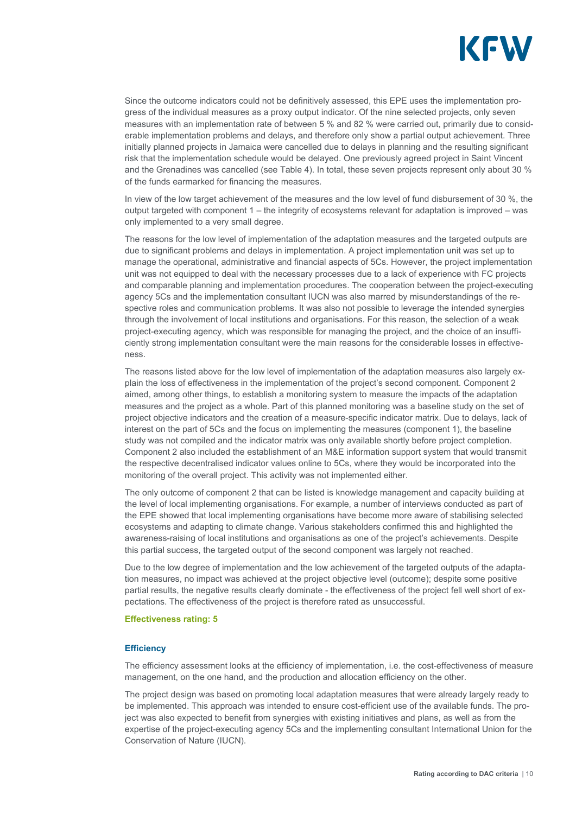

Since the outcome indicators could not be definitively assessed, this EPE uses the implementation progress of the individual measures as a proxy output indicator. Of the nine selected projects, only seven measures with an implementation rate of between 5 % and 82 % were carried out, primarily due to considerable implementation problems and delays, and therefore only show a partial output achievement. Three initially planned projects in Jamaica were cancelled due to delays in planning and the resulting significant risk that the implementation schedule would be delayed. One previously agreed project in Saint Vincent and the Grenadines was cancelled (see Table 4). In total, these seven projects represent only about 30 % of the funds earmarked for financing the measures.

In view of the low target achievement of the measures and the low level of fund disbursement of 30 %, the output targeted with component 1 – the integrity of ecosystems relevant for adaptation is improved – was only implemented to a very small degree.

The reasons for the low level of implementation of the adaptation measures and the targeted outputs are due to significant problems and delays in implementation. A project implementation unit was set up to manage the operational, administrative and financial aspects of 5Cs. However, the project implementation unit was not equipped to deal with the necessary processes due to a lack of experience with FC projects and comparable planning and implementation procedures. The cooperation between the project-executing agency 5Cs and the implementation consultant IUCN was also marred by misunderstandings of the respective roles and communication problems. It was also not possible to leverage the intended synergies through the involvement of local institutions and organisations. For this reason, the selection of a weak project-executing agency, which was responsible for managing the project, and the choice of an insufficiently strong implementation consultant were the main reasons for the considerable losses in effectiveness.

The reasons listed above for the low level of implementation of the adaptation measures also largely explain the loss of effectiveness in the implementation of the project's second component. Component 2 aimed, among other things, to establish a monitoring system to measure the impacts of the adaptation measures and the project as a whole. Part of this planned monitoring was a baseline study on the set of project objective indicators and the creation of a measure-specific indicator matrix. Due to delays, lack of interest on the part of 5Cs and the focus on implementing the measures (component 1), the baseline study was not compiled and the indicator matrix was only available shortly before project completion. Component 2 also included the establishment of an M&E information support system that would transmit the respective decentralised indicator values online to 5Cs, where they would be incorporated into the monitoring of the overall project. This activity was not implemented either.

The only outcome of component 2 that can be listed is knowledge management and capacity building at the level of local implementing organisations. For example, a number of interviews conducted as part of the EPE showed that local implementing organisations have become more aware of stabilising selected ecosystems and adapting to climate change. Various stakeholders confirmed this and highlighted the awareness-raising of local institutions and organisations as one of the project's achievements. Despite this partial success, the targeted output of the second component was largely not reached.

Due to the low degree of implementation and the low achievement of the targeted outputs of the adaptation measures, no impact was achieved at the project objective level (outcome); despite some positive partial results, the negative results clearly dominate - the effectiveness of the project fell well short of expectations. The effectiveness of the project is therefore rated as unsuccessful.

#### **Effectiveness rating: 5**

#### **Efficiency**

The efficiency assessment looks at the efficiency of implementation, i.e. the cost-effectiveness of measure management, on the one hand, and the production and allocation efficiency on the other.

The project design was based on promoting local adaptation measures that were already largely ready to be implemented. This approach was intended to ensure cost-efficient use of the available funds. The project was also expected to benefit from synergies with existing initiatives and plans, as well as from the expertise of the project-executing agency 5Cs and the implementing consultant International Union for the Conservation of Nature (IUCN).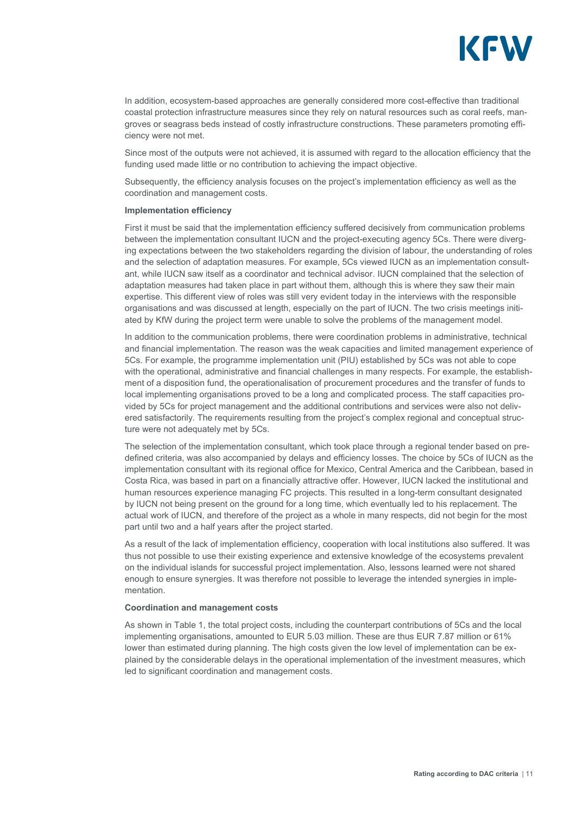

In addition, ecosystem-based approaches are generally considered more cost-effective than traditional coastal protection infrastructure measures since they rely on natural resources such as coral reefs, mangroves or seagrass beds instead of costly infrastructure constructions. These parameters promoting efficiency were not met.

Since most of the outputs were not achieved, it is assumed with regard to the allocation efficiency that the funding used made little or no contribution to achieving the impact objective.

Subsequently, the efficiency analysis focuses on the project's implementation efficiency as well as the coordination and management costs.

#### **Implementation efficiency**

First it must be said that the implementation efficiency suffered decisively from communication problems between the implementation consultant IUCN and the project-executing agency 5Cs. There were diverging expectations between the two stakeholders regarding the division of labour, the understanding of roles and the selection of adaptation measures. For example, 5Cs viewed IUCN as an implementation consultant, while IUCN saw itself as a coordinator and technical advisor. IUCN complained that the selection of adaptation measures had taken place in part without them, although this is where they saw their main expertise. This different view of roles was still very evident today in the interviews with the responsible organisations and was discussed at length, especially on the part of IUCN. The two crisis meetings initiated by KfW during the project term were unable to solve the problems of the management model.

In addition to the communication problems, there were coordination problems in administrative, technical and financial implementation. The reason was the weak capacities and limited management experience of 5Cs. For example, the programme implementation unit (PIU) established by 5Cs was not able to cope with the operational, administrative and financial challenges in many respects. For example, the establishment of a disposition fund, the operationalisation of procurement procedures and the transfer of funds to local implementing organisations proved to be a long and complicated process. The staff capacities provided by 5Cs for project management and the additional contributions and services were also not delivered satisfactorily. The requirements resulting from the project's complex regional and conceptual structure were not adequately met by 5Cs.

The selection of the implementation consultant, which took place through a regional tender based on predefined criteria, was also accompanied by delays and efficiency losses. The choice by 5Cs of IUCN as the implementation consultant with its regional office for Mexico, Central America and the Caribbean, based in Costa Rica, was based in part on a financially attractive offer. However, IUCN lacked the institutional and human resources experience managing FC projects. This resulted in a long-term consultant designated by IUCN not being present on the ground for a long time, which eventually led to his replacement. The actual work of IUCN, and therefore of the project as a whole in many respects, did not begin for the most part until two and a half years after the project started.

As a result of the lack of implementation efficiency, cooperation with local institutions also suffered. It was thus not possible to use their existing experience and extensive knowledge of the ecosystems prevalent on the individual islands for successful project implementation. Also, lessons learned were not shared enough to ensure synergies. It was therefore not possible to leverage the intended synergies in implementation.

#### **Coordination and management costs**

As shown in Table 1, the total project costs, including the counterpart contributions of 5Cs and the local implementing organisations, amounted to EUR 5.03 million. These are thus EUR 7.87 million or 61% lower than estimated during planning. The high costs given the low level of implementation can be explained by the considerable delays in the operational implementation of the investment measures, which led to significant coordination and management costs.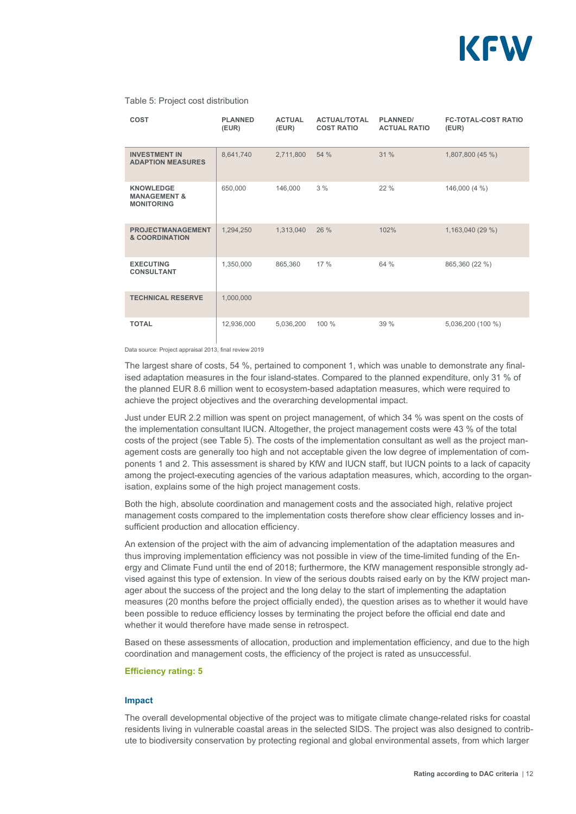

#### Table 5: Project cost distribution

| <b>COST</b>                                                      | <b>PLANNED</b><br>(EUR) | <b>ACTUAL</b><br>(EUR) | <b>ACTUAL/TOTAL</b><br><b>COST RATIO</b> | PLANNED/<br><b>ACTUAL RATIO</b> | <b>FC-TOTAL-COST RATIO</b><br>(EUR) |
|------------------------------------------------------------------|-------------------------|------------------------|------------------------------------------|---------------------------------|-------------------------------------|
| <b>INVESTMENT IN</b><br><b>ADAPTION MEASURES</b>                 | 8,641,740               | 2,711,800              | 54 %                                     | 31 %                            | 1,807,800 (45 %)                    |
| <b>KNOWLEDGE</b><br><b>MANAGEMENT &amp;</b><br><b>MONITORING</b> | 650,000                 | 146,000                | 3%                                       | 22%                             | 146,000 (4 %)                       |
| <b>PROJECTMANAGEMENT</b><br>& COORDINATION                       | 1,294,250               | 1,313,040              | 26 %                                     | 102%                            | 1,163,040 (29 %)                    |
| <b>EXECUTING</b><br><b>CONSULTANT</b>                            | 1,350,000               | 865,360                | 17 %                                     | 64 %                            | 865,360 (22 %)                      |
| <b>TECHNICAL RESERVE</b>                                         | 1,000,000               |                        |                                          |                                 |                                     |
| <b>TOTAL</b>                                                     | 12,936,000              | 5,036,200              | 100 %                                    | 39 %                            | 5,036,200 (100 %)                   |

Data source: Project appraisal 2013, final review 2019

The largest share of costs, 54 %, pertained to component 1, which was unable to demonstrate any finalised adaptation measures in the four island-states. Compared to the planned expenditure, only 31 % of the planned EUR 8.6 million went to ecosystem-based adaptation measures, which were required to achieve the project objectives and the overarching developmental impact.

Just under EUR 2.2 million was spent on project management, of which 34 % was spent on the costs of the implementation consultant IUCN. Altogether, the project management costs were 43 % of the total costs of the project (see Table 5). The costs of the implementation consultant as well as the project management costs are generally too high and not acceptable given the low degree of implementation of components 1 and 2. This assessment is shared by KfW and IUCN staff, but IUCN points to a lack of capacity among the project-executing agencies of the various adaptation measures, which, according to the organisation, explains some of the high project management costs.

Both the high, absolute coordination and management costs and the associated high, relative project management costs compared to the implementation costs therefore show clear efficiency losses and insufficient production and allocation efficiency.

An extension of the project with the aim of advancing implementation of the adaptation measures and thus improving implementation efficiency was not possible in view of the time-limited funding of the Energy and Climate Fund until the end of 2018; furthermore, the KfW management responsible strongly advised against this type of extension. In view of the serious doubts raised early on by the KfW project manager about the success of the project and the long delay to the start of implementing the adaptation measures (20 months before the project officially ended), the question arises as to whether it would have been possible to reduce efficiency losses by terminating the project before the official end date and whether it would therefore have made sense in retrospect.

Based on these assessments of allocation, production and implementation efficiency, and due to the high coordination and management costs, the efficiency of the project is rated as unsuccessful.

#### **Efficiency rating: 5**

#### **Impact**

The overall developmental objective of the project was to mitigate climate change-related risks for coastal residents living in vulnerable coastal areas in the selected SIDS. The project was also designed to contribute to biodiversity conservation by protecting regional and global environmental assets, from which larger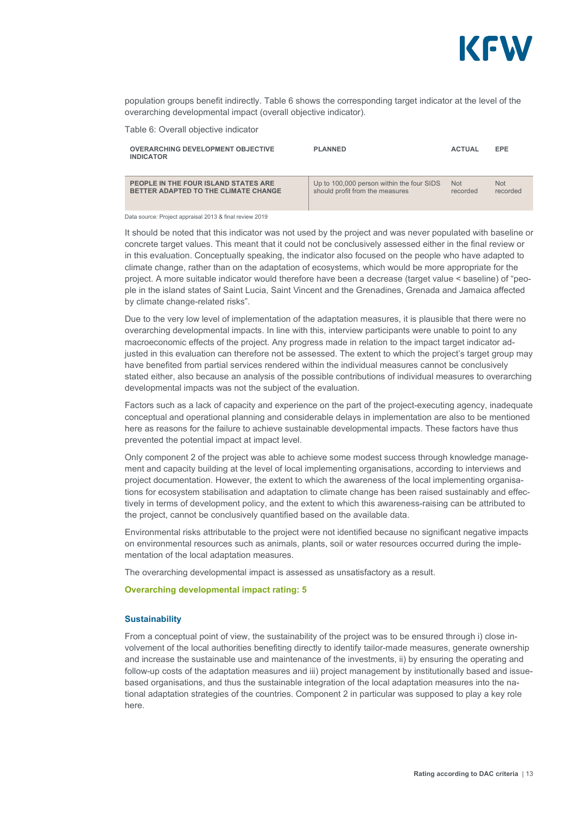

population groups benefit indirectly. Table 6 shows the corresponding target indicator at the level of the overarching developmental impact (overall objective indicator).

Table 6: Overall objective indicator

| <b>OVERARCHING DEVELOPMENT OBJECTIVE</b><br><b>INDICATOR</b> | <b>PLANNED</b>                            | <b>ACTUAL</b> | <b>EPE</b> |
|--------------------------------------------------------------|-------------------------------------------|---------------|------------|
| PEOPLE IN THE FOUR ISLAND STATES ARE                         | Up to 100,000 person within the four SIDS | <b>Not</b>    | <b>Not</b> |
| BETTER ADAPTED TO THE CLIMATE CHANGE                         | should profit from the measures           | recorded      | recorded   |

Data source: Project appraisal 2013 & final review 2019

It should be noted that this indicator was not used by the project and was never populated with baseline or concrete target values. This meant that it could not be conclusively assessed either in the final review or in this evaluation. Conceptually speaking, the indicator also focused on the people who have adapted to climate change, rather than on the adaptation of ecosystems, which would be more appropriate for the project. A more suitable indicator would therefore have been a decrease (target value < baseline) of "people in the island states of Saint Lucia, Saint Vincent and the Grenadines, Grenada and Jamaica affected by climate change-related risks".

Due to the very low level of implementation of the adaptation measures, it is plausible that there were no overarching developmental impacts. In line with this, interview participants were unable to point to any macroeconomic effects of the project. Any progress made in relation to the impact target indicator adjusted in this evaluation can therefore not be assessed. The extent to which the project's target group may have benefited from partial services rendered within the individual measures cannot be conclusively stated either, also because an analysis of the possible contributions of individual measures to overarching developmental impacts was not the subject of the evaluation.

Factors such as a lack of capacity and experience on the part of the project-executing agency, inadequate conceptual and operational planning and considerable delays in implementation are also to be mentioned here as reasons for the failure to achieve sustainable developmental impacts. These factors have thus prevented the potential impact at impact level.

Only component 2 of the project was able to achieve some modest success through knowledge management and capacity building at the level of local implementing organisations, according to interviews and project documentation. However, the extent to which the awareness of the local implementing organisations for ecosystem stabilisation and adaptation to climate change has been raised sustainably and effectively in terms of development policy, and the extent to which this awareness-raising can be attributed to the project, cannot be conclusively quantified based on the available data.

Environmental risks attributable to the project were not identified because no significant negative impacts on environmental resources such as animals, plants, soil or water resources occurred during the implementation of the local adaptation measures.

The overarching developmental impact is assessed as unsatisfactory as a result.

#### **Overarching developmental impact rating: 5**

#### **Sustainability**

From a conceptual point of view, the sustainability of the project was to be ensured through i) close involvement of the local authorities benefiting directly to identify tailor-made measures, generate ownership and increase the sustainable use and maintenance of the investments, ii) by ensuring the operating and follow-up costs of the adaptation measures and iii) project management by institutionally based and issuebased organisations, and thus the sustainable integration of the local adaptation measures into the national adaptation strategies of the countries. Component 2 in particular was supposed to play a key role here.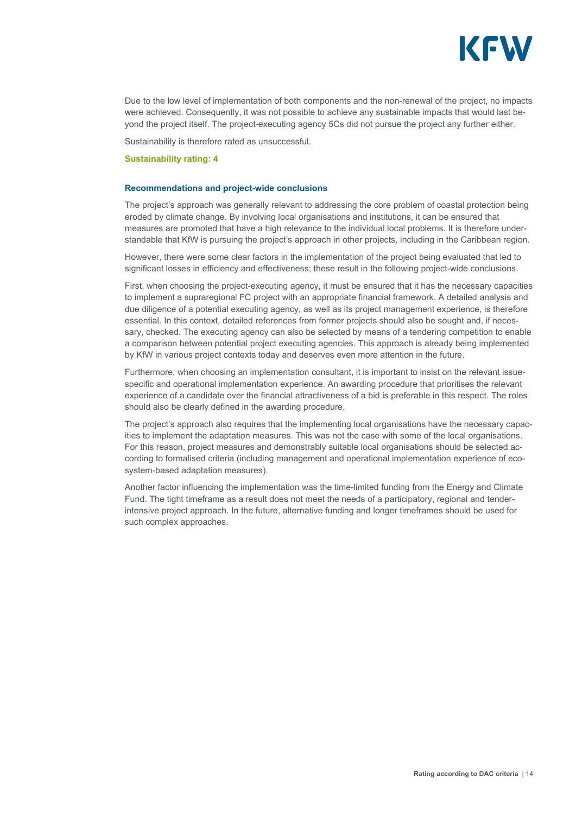

Due to the low level of implementation of both components and the non-renewal of the project, no impacts were achieved. Consequently, it was not possible to achieve any sustainable impacts that would last beyond the project itself. The project-executing agency 5Cs did not pursue the project any further either.

Sustainability is therefore rated as unsuccessful.

#### **Sustainability rating: 4**

#### **Recommendations and project-wide conclusions**

The project's approach was generally relevant to addressing the core problem of coastal protection being eroded by climate change. By involving local organisations and institutions, it can be ensured that measures are promoted that have a high relevance to the individual local problems. It is therefore understandable that KfW is pursuing the project's approach in other projects, including in the Caribbean region.

However, there were some clear factors in the implementation of the project being evaluated that led to significant losses in efficiency and effectiveness; these result in the following project-wide conclusions.

First, when choosing the project-executing agency, it must be ensured that it has the necessary capacities to implement a supraregional FC project with an appropriate financial framework. A detailed analysis and due diligence of a potential executing agency, as well as its project management experience, is therefore essential. In this context, detailed references from former projects should also be sought and, if necessary, checked. The executing agency can also be selected by means of a tendering competition to enable a comparison between potential project executing agencies. This approach is already being implemented by KfW in various project contexts today and deserves even more attention in the future.

Furthermore, when choosing an implementation consultant, it is important to insist on the relevant issuespecific and operational implementation experience. An awarding procedure that prioritises the relevant experience of a candidate over the financial attractiveness of a bid is preferable in this respect. The roles should also be clearly defined in the awarding procedure.

The project's approach also requires that the implementing local organisations have the necessary capacities to implement the adaptation measures. This was not the case with some of the local organisations. For this reason, project measures and demonstrably suitable local organisations should be selected according to formalised criteria (including management and operational implementation experience of ecosystem-based adaptation measures).

Another factor influencing the implementation was the time-limited funding from the Energy and Climate Fund. The tight timeframe as a result does not meet the needs of a participatory, regional and tenderintensive project approach. In the future, alternative funding and longer timeframes should be used for such complex approaches.